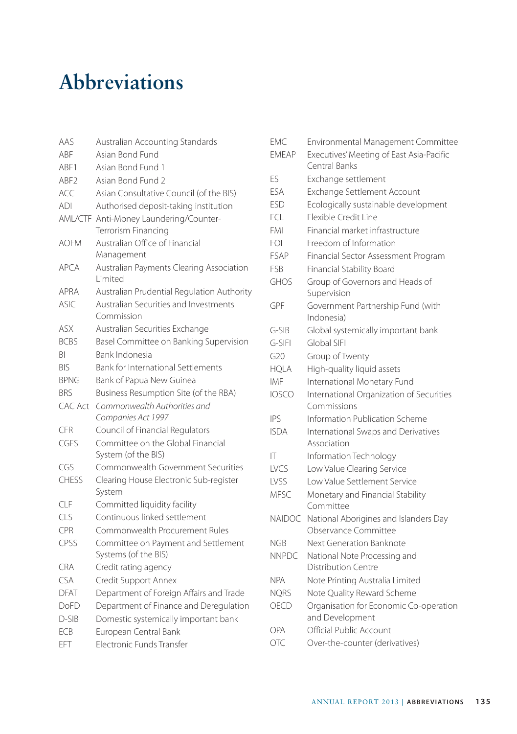## **Abbreviations**

| AAS              | Australian Accounting Standards                             |
|------------------|-------------------------------------------------------------|
| ABF              | Asian Bond Fund                                             |
| ABF1             | Asian Bond Fund 1                                           |
| ABF <sub>2</sub> | Asian Bond Fund 2                                           |
| ACC              | Asian Consultative Council (of the BIS)                     |
| ADI              | Authorised deposit-taking institution                       |
| AML/CTF          | Anti-Money Laundering/Counter-<br>Terrorism Financing       |
| <b>AOFM</b>      | Australian Office of Financial                              |
|                  | Management                                                  |
| <b>APCA</b>      | Australian Payments Clearing Association<br>I imited        |
| <b>APRA</b>      | Australian Prudential Regulation Authority                  |
| <b>ASIC</b>      | Australian Securities and Investments<br>Commission         |
| ASX              | Australian Securities Exchange                              |
| <b>BCBS</b>      | Basel Committee on Banking Supervision                      |
| RI               | Bank Indonesia                                              |
| <b>BIS</b>       | <b>Bank for International Settlements</b>                   |
| <b>BPNG</b>      | Bank of Papua New Guinea                                    |
| <b>BRS</b>       | Business Resumption Site (of the RBA)                       |
| CAC Act          | Commonwealth Authorities and                                |
|                  | Companies Act 1997                                          |
| CFR              | Council of Financial Regulators                             |
| CGES             | Committee on the Global Financial<br>System (of the BIS)    |
| CGS              | Commonwealth Government Securities                          |
| <b>CHESS</b>     | Clearing House Electronic Sub-register<br>System            |
| CIF              | Committed liquidity facility                                |
| CLS              | Continuous linked settlement                                |
| CPR              | Commonwealth Procurement Rules                              |
| CPSS             | Committee on Payment and Settlement<br>Systems (of the BIS) |
| CRA              | Credit rating agency                                        |
| CSA              | Credit Support Annex                                        |
| <b>DFAT</b>      | Department of Foreign Affairs and Trade                     |
| DoFD             | Department of Finance and Deregulation                      |
| $D-SIB$          | Domestic systemically important bank                        |
| ECB              | European Central Bank                                       |
| FFT              | Electronic Funds Transfer                                   |

| EMC           | Environmental Management Committee                            |
|---------------|---------------------------------------------------------------|
| <b>EMEAP</b>  | Executives' Meeting of East Asia-Pacific<br>Central Banks     |
| FS            | Exchange settlement                                           |
| ESA           | Exchange Settlement Account                                   |
| <b>ESD</b>    | Ecologically sustainable development                          |
| FCL           | Flexible Credit Line                                          |
| <b>FMI</b>    | Financial market infrastructure                               |
| FOI           | Freedom of Information                                        |
| <b>FSAP</b>   | Financial Sector Assessment Program                           |
| FSB           | Financial Stability Board                                     |
| <b>GHOS</b>   | Group of Governors and Heads of<br>Supervision                |
| GPF           | Government Partnership Fund (with<br>Indonesia)               |
| $G-SIB$       | Global systemically important bank                            |
| G-SIFI        | Global SIFI                                                   |
| G20           | Group of Twenty                                               |
| HQLA          | High-quality liquid assets                                    |
| IMF           | International Monetary Fund                                   |
| <b>IOSCO</b>  | International Organization of Securities<br>Commissions       |
| IΡS           | Information Publication Scheme                                |
| <b>ISDA</b>   | International Swaps and Derivatives<br>Association            |
| IΤ            | Information Technology                                        |
| LVCS          | Low Value Clearing Service                                    |
| LVSS          | Low Value Settlement Service                                  |
| <b>MFSC</b>   | Monetary and Financial Stability<br>Committee                 |
| <b>NAIDOC</b> | National Aborigines and Islanders Day<br>Observance Committee |
| <b>NGB</b>    | Next Generation Banknote                                      |
| <b>NNPDC</b>  | National Note Processing and                                  |
|               | Distribution Centre                                           |
| <b>NPA</b>    | Note Printing Australia Limited                               |
| <b>NQRS</b>   | Note Quality Reward Scheme                                    |
| OECD          | Organisation for Economic Co-operation                        |
|               | and Development                                               |
| OPA           | Official Public Account                                       |
| <b>OTC</b>    | Over-the-counter (derivatives)                                |